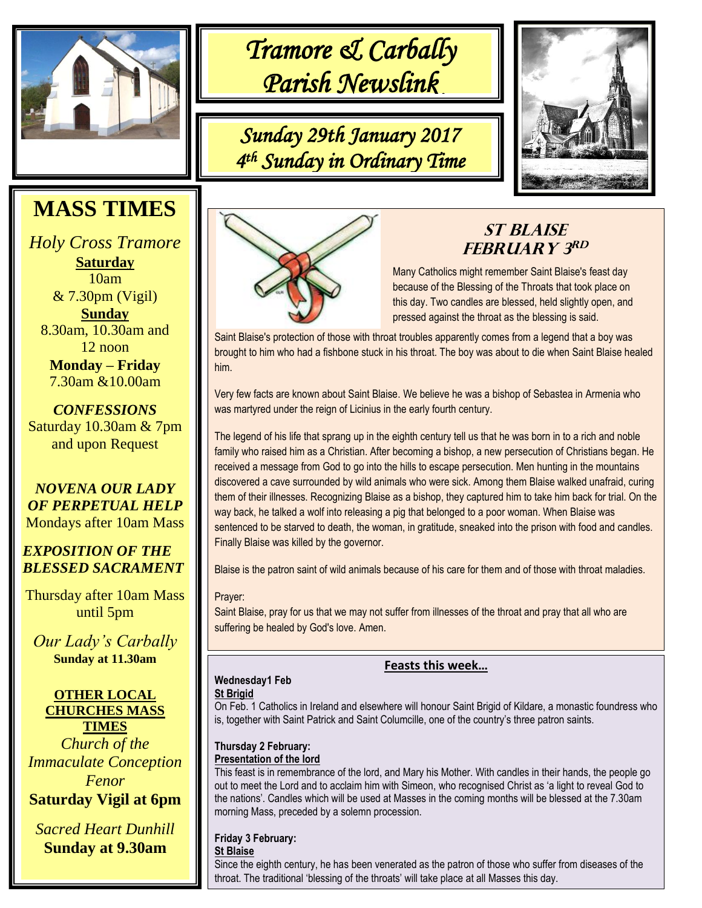

֘ *Tramore & Carbally Parish Newslink* 

*Sunday 29th January 2017 4 th Sunday in Ordinary Time* 



# **MASS TIMES**

*Holy Cross Tramore* **Saturday** 10am & 7.30pm (Vigil) **Sunday** 8.30am, 10.30am and 12 noon **Monday – Friday** 7.30am &10.00am

*CONFESSIONS* Saturday 10.30am & 7pm and upon Request

*NOVENA OUR LADY OF PERPETUAL HELP* Mondays after 10am Mass

#### .<br>.. *EXPOSITION OF THE BLESSED SACRAMENT*

Thursday after 10am Mass until 5pm

*Our Lady's Carbally* **Sunday at 11.30am**



*Church of the Immaculate Conception Fenor* **Saturday Vigil at 6pm**

*Sacred Heart Dunhill* **Sunday at 9.30am**



# **St Blaise FEBRUARY** 3RD

Many Catholics might remember Saint Blaise's [feast day](http://www.catholic.org/saints/f_day/) because of the [Blessing](http://www.catholic.org/encyclopedia/view.php?id=1948) of the Throats that took place on this day. Two [candles](http://www.catholic.org/encyclopedia/view.php?id=2466) are blessed, held slightly open, and pressed against the throat as th[e blessing](http://www.catholic.org/encyclopedia/view.php?id=1948) is said.

Saint Blaise's protection of those with throat troubles apparently comes from a legend that a boy was brought to him who had a fishbone stuck in his throat. The boy was about to die when Saint Blaise healed him.

Very few facts are known about Saint Blaise. We believe he was [a bishop](http://www.catholic.org/encyclopedia/view.php?id=1918) of Sebastea in [Armenia](http://www.catholic.org/encyclopedia/view.php?id=1080) who was martyred under the reign of Licinius in the early fourth century.

The legend of hi[s life](http://www.catholic.org/encyclopedia/view.php?id=7101) that sprang up in the eighth century tell us that he was born in to a rich and noble [family](http://www.catholic.org/encyclopedia/view.php?id=4568) who raised him as a Christian. After becoming a bishop, a new [persecution](http://www.catholic.org/encyclopedia/view.php?id=9187) of Christians began. He received a message fro[m God](http://www.catholic.org/encyclopedia/view.php?id=5217) to go into the hills to escape persecution. Men hunting in the mountains discovered a cave surrounded by wild animals who were sick. Among them Blaise walked unafraid, curing them of their illnesses. Recognizing Blaise as a bishop, they captured him to take him back for trial. On the way back, he talked a wolf into releasing a pig that belonged to a poor woman. When Blaise was sentenced to be starved to death, the woman, in gratitude, sneaked into the prison with food and candles. Finally Blaise was killed by the governor.

Blaise is the patron saint of wild animals because of his care for them and of those with throat maladies.

Prayer:

Saint Blaise, pray for us that we may not suffer from illnesses of the throat and pray that all who are suffering be healed by God's love. [Amen.](http://www.catholic.org/encyclopedia/view.php?id=644)

# **Wednesday1 Feb**

**St Brigid**

On Feb. 1 Catholics in Ireland and elsewhere will honour Saint Brigid of Kildare, a monastic foundress who is, together with Saint Patrick and Saint Columcille, one of the country's three patron saints.

#### **Thursday 2 February: Presentation of the lord**

This feast is in remembrance of the lord, and Mary his Mother. With candles in their hands, the people go out to meet the Lord and to acclaim him with Simeon, who recognised Christ as 'a light to reveal God to the nations'. Candles which will be used at Masses in the coming months will be blessed at the 7.30am morning Mass, preceded by a solemn procession.

## **Friday 3 February:**

### **St Blaise**

Since the eighth century, he has been venerated as the patron of those who suffer from diseases of the throat. The traditional 'blessing of the throats' will take place at all Masses this day.

### **Feasts this week…**